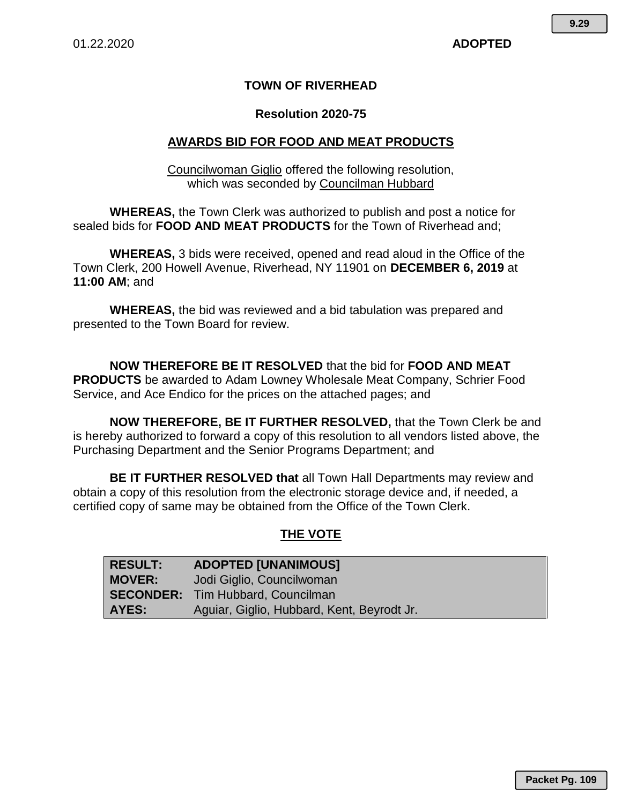# **TOWN OF RIVERHEAD**

## **Resolution 2020-75**

# **AWARDS BID FOR FOOD AND MEAT PRODUCTS**

Councilwoman Giglio offered the following resolution, which was seconded by Councilman Hubbard

**WHEREAS,** the Town Clerk was authorized to publish and post a notice for sealed bids for **FOOD AND MEAT PRODUCTS** for the Town of Riverhead and;

**WHEREAS,** 3 bids were received, opened and read aloud in the Office of the Town Clerk, 200 Howell Avenue, Riverhead, NY 11901 on **DECEMBER 6, 2019** at **11:00 AM**; and

**WHEREAS,** the bid was reviewed and a bid tabulation was prepared and presented to the Town Board for review.

**NOW THEREFORE BE IT RESOLVED** that the bid for **FOOD AND MEAT PRODUCTS** be awarded to Adam Lowney Wholesale Meat Company, Schrier Food Service, and Ace Endico for the prices on the attached pages; and

**NOW THEREFORE, BE IT FURTHER RESOLVED,** that the Town Clerk be and is hereby authorized to forward a copy of this resolution to all vendors listed above, the Purchasing Department and the Senior Programs Department; and

**BE IT FURTHER RESOLVED that** all Town Hall Departments may review and obtain a copy of this resolution from the electronic storage device and, if needed, a certified copy of same may be obtained from the Office of the Town Clerk.

### **THE VOTE**

| <b>RESULT:</b> | <b>ADOPTED [UNANIMOUS]</b>                 |
|----------------|--------------------------------------------|
| <b>MOVER:</b>  | Jodi Giglio, Councilwoman                  |
|                | <b>SECONDER:</b> Tim Hubbard, Councilman   |
| <b>AYES:</b>   | Aguiar, Giglio, Hubbard, Kent, Beyrodt Jr. |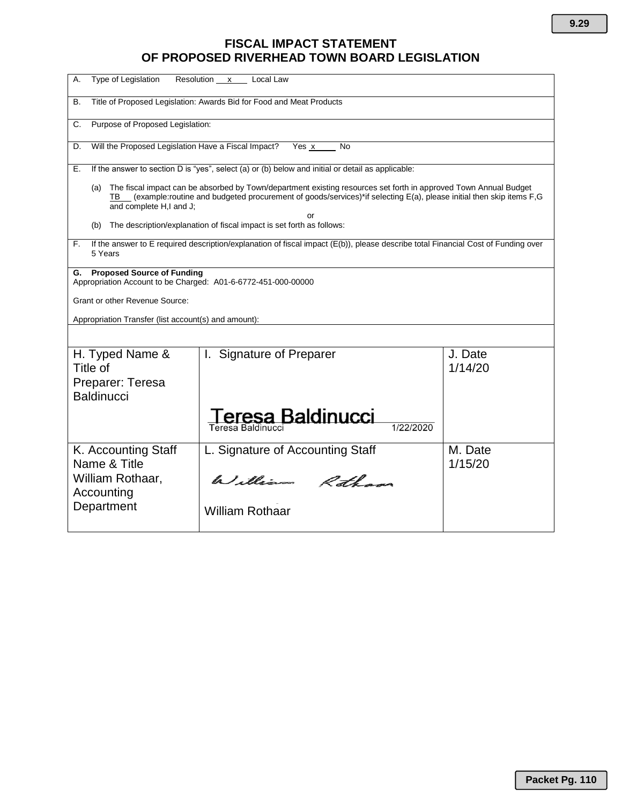# **FISCAL IMPACT STATEMENT OF PROPOSED RIVERHEAD TOWN BOARD LEGISLATION**

| Type of Legislation<br>А.                                                                                | Resolution x Local Law                                                                                                                                                                                                                       |                    |
|----------------------------------------------------------------------------------------------------------|----------------------------------------------------------------------------------------------------------------------------------------------------------------------------------------------------------------------------------------------|--------------------|
| В.                                                                                                       | Title of Proposed Legislation: Awards Bid for Food and Meat Products                                                                                                                                                                         |                    |
| Purpose of Proposed Legislation:<br>C.                                                                   |                                                                                                                                                                                                                                              |                    |
| Will the Proposed Legislation Have a Fiscal Impact?<br>D.                                                | Yes x<br>No                                                                                                                                                                                                                                  |                    |
| Е.                                                                                                       | If the answer to section D is "yes", select (a) or (b) below and initial or detail as applicable:                                                                                                                                            |                    |
| (a)<br>and complete H,I and J;                                                                           | The fiscal impact can be absorbed by Town/department existing resources set forth in approved Town Annual Budget<br>(example:routine and budgeted procurement of goods/services)*if selecting E(a), please initial then skip items F,G<br>or |                    |
| (b)                                                                                                      | The description/explanation of fiscal impact is set forth as follows:                                                                                                                                                                        |                    |
| F.<br>5 Years                                                                                            | If the answer to E required description/explanation of fiscal impact (E(b)), please describe total Financial Cost of Funding over                                                                                                            |                    |
| <b>Proposed Source of Funding</b><br>G.<br>Appropriation Account to be Charged: A01-6-6772-451-000-00000 |                                                                                                                                                                                                                                              |                    |
| Grant or other Revenue Source:                                                                           |                                                                                                                                                                                                                                              |                    |
| Appropriation Transfer (list account(s) and amount):                                                     |                                                                                                                                                                                                                                              |                    |
|                                                                                                          |                                                                                                                                                                                                                                              |                    |
| H. Typed Name &<br>Title of<br>Preparer: Teresa                                                          | I. Signature of Preparer                                                                                                                                                                                                                     | J. Date<br>1/14/20 |
| <b>Baldinucci</b>                                                                                        |                                                                                                                                                                                                                                              |                    |
|                                                                                                          | eresa Baldinucci<br>Teresa Baldinucci                                                                                                                                                                                                        |                    |
| K. Accounting Staff                                                                                      | L. Signature of Accounting Staff                                                                                                                                                                                                             | M. Date            |
| Name & Title<br>William Rothaar,<br>Accounting                                                           | William Rotham                                                                                                                                                                                                                               | 1/15/20            |
| Department                                                                                               | <b>William Rothaar</b>                                                                                                                                                                                                                       |                    |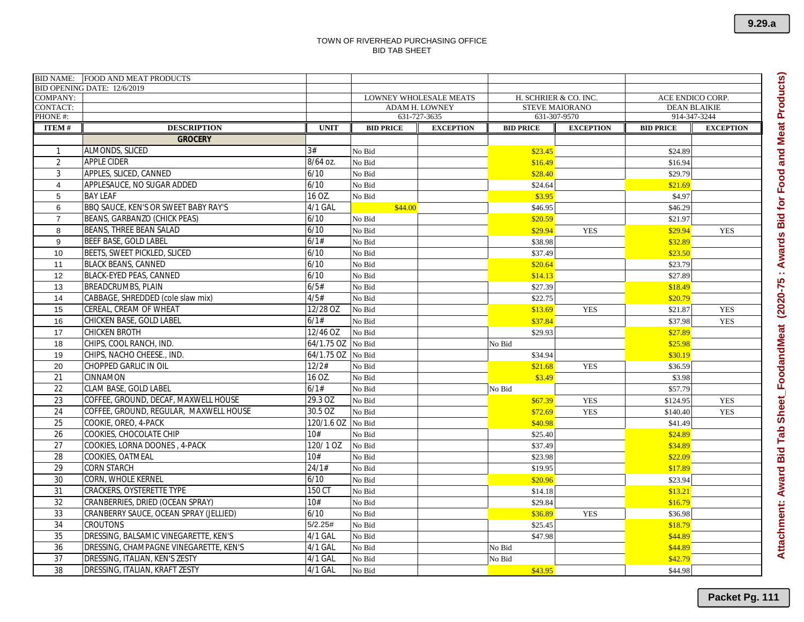|                 | BID NAME: FOOD AND MEAT PRODUCTS       |             |                  |                               |                                                                                           |                  |                  |                  |  |
|-----------------|----------------------------------------|-------------|------------------|-------------------------------|-------------------------------------------------------------------------------------------|------------------|------------------|------------------|--|
| <b>COMPANY:</b> | BID OPENING DATE: 12/6/2019            |             |                  | <b>LOWNEY WHOLESALE MEATS</b> |                                                                                           |                  |                  |                  |  |
| <b>CONTACT:</b> |                                        |             |                  | <b>ADAM H. LOWNEY</b>         | ACE ENDICO CORP.<br>H. SCHRIER & CO. INC.<br><b>STEVE MAIORANO</b><br><b>DEAN BLAIKIE</b> |                  |                  |                  |  |
| PHONE #:        |                                        |             |                  | 631-727-3635                  | 631-307-9570<br>914-347-3244                                                              |                  |                  |                  |  |
| <b>ITEM#</b>    | <b>DESCRIPTION</b>                     | <b>UNIT</b> | <b>BID PRICE</b> | <b>EXCEPTION</b>              | <b>BID PRICE</b>                                                                          | <b>EXCEPTION</b> | <b>BID PRICE</b> | <b>EXCEPTION</b> |  |
|                 | <b>GROCERY</b>                         |             |                  |                               |                                                                                           |                  |                  |                  |  |
|                 | ALMONDS, SLICED                        | 3#          | No Bid           |                               | \$23.45                                                                                   |                  | \$24.89          |                  |  |
| 2               | APPLE CIDER                            | 8/64 oz.    | No Bid           |                               | \$16.49                                                                                   |                  | \$16.94          |                  |  |
| 3               | APPLES, SLICED, CANNED                 | 6/10        | No Bid           |                               | \$28.40                                                                                   |                  | \$29.79          |                  |  |
| $\overline{4}$  | APPLESAUCE, NO SUGAR ADDED             | 6/10        | No Bid           |                               | \$24.64                                                                                   |                  | \$21.69          |                  |  |
| 5               | <b>BAY LEAF</b>                        | 16 OZ.      | No Bid           |                               | \$3.95                                                                                    |                  | \$4.97           |                  |  |
| 6               | BBQ SAUCE, KEN'S OR SWEET BABY RAY'S   | 4/1 GAL     | \$44.00          |                               | \$46.95                                                                                   |                  | \$46.29          |                  |  |
| $\overline{7}$  | BEANS, GARBANZO (CHICK PEAS)           | 6/10        | No Bid           |                               | \$20.59                                                                                   |                  | \$21.97          |                  |  |
| 8               | BEANS, THREE BEAN SALAD                | 6/10        | No Bid           |                               | \$29.94                                                                                   | <b>YES</b>       | \$29.94          | <b>YES</b>       |  |
| 9               | <b>BEEF BASE, GOLD LABEL</b>           | 6/1#        | No Bid           |                               | \$38.98                                                                                   |                  | \$32.89          |                  |  |
| 10              | BEETS, SWEET PICKLED, SLICED           | 6/10        | No Bid           |                               | \$37.49                                                                                   |                  | \$23.50          |                  |  |
| 11              | <b>BLACK BEANS, CANNED</b>             | 6/10        | No Bid           |                               | \$20.64                                                                                   |                  | \$23.79          |                  |  |
| 12              | BLACK-EYED PEAS, CANNED                | 6/10        | No Bid           |                               | \$14.13                                                                                   |                  | \$27.89          |                  |  |
| 13              | BREADCRUMBS, PLAIN                     | 6/5#        | No Bid           |                               | \$27.39                                                                                   |                  | \$18.49          |                  |  |
| 14              | CABBAGE, SHREDDED (cole slaw mix)      | 4/5#        | No Bid           |                               | \$22.75                                                                                   |                  | \$20.79          |                  |  |
| 15              | CEREAL, CREAM OF WHEAT                 | 12/28 OZ    | No Bid           |                               | \$13.69                                                                                   | <b>YES</b>       | \$21.87          | <b>YES</b>       |  |
| 16              | CHICKEN BASE, GOLD LABEL               | 6/1#        | No Bid           |                               | \$37.84                                                                                   |                  | \$37.98          | <b>YES</b>       |  |
| 17              | <b>CHICKEN BROTH</b>                   | 12/46 OZ    | No Bid           |                               | \$29.93                                                                                   |                  | \$27.89          |                  |  |
| 18              | CHIPS, COOL RANCH, IND                 | 64/1.75 OZ  | No Bid           |                               | No Bid                                                                                    |                  | \$25.98          |                  |  |
| 19              | CHIPS, NACHO CHEESE., IND.             | 64/1.75 OZ  | No Bid           |                               | \$34.94                                                                                   |                  | \$30.19          |                  |  |
| 20              | CHOPPED GARLIC IN OIL                  | 12/2#       | No Bid           |                               | \$21.68                                                                                   | <b>YES</b>       | \$36.59          |                  |  |
| 21              | CINNAMON                               | 16 OZ.      | No Bid           |                               | \$3.49                                                                                    |                  | \$3.98           |                  |  |
| 22              | CLAM BASE, GOLD LABEL                  | 6/1#        | No Bid           |                               | No Bid                                                                                    |                  | \$57.79          |                  |  |
| 23              | COFFEE, GROUND, DECAF, MAXWELL HOUSE   | 29.3 OZ     | No Bid           |                               | \$67.39                                                                                   | <b>YES</b>       | \$124.95         | <b>YES</b>       |  |
| 24              | COFFEE, GROUND, REGULAR, MAXWELL HOUSE | 30.5 OZ     | No Bid           |                               | \$72.69                                                                                   | <b>YES</b>       | \$140.40         | <b>YES</b>       |  |
| 25              | COOKIE, OREO, 4-PACK                   | 120/1.6 OZ  | No Bid           |                               | \$40.98                                                                                   |                  | \$41.49          |                  |  |
| 26              | COOKIES, CHOCOLATE CHIP                | 10#         | No Bid           |                               | \$25.40                                                                                   |                  | \$24.89          |                  |  |
| 27              | COOKIES, LORNA DOONES, 4-PACK          | 120/10Z     | No Bid           |                               | \$37.49                                                                                   |                  | \$34.89          |                  |  |
| 28              | COOKIES, OATMEAL                       | 10#         | No Bid           |                               | \$23.98                                                                                   |                  | \$22.09          |                  |  |
| 29              | <b>CORN STARCH</b>                     | 24/1#       | No Bid           |                               | \$19.95                                                                                   |                  | \$17.89          |                  |  |
| 30              | CORN, WHOLE KERNEL                     | 6/10        | No Bid           |                               | \$20.96                                                                                   |                  | \$23.94          |                  |  |
| 31              | CRACKERS, OYSTERETTE TYPE              | 150 CT      | No Bid           |                               | \$14.18                                                                                   |                  | \$13.21          |                  |  |
| 32              | CRANBERRIES, DRIED (OCEAN SPRAY)       | 10#         | No Bid           |                               | \$29.84                                                                                   |                  | \$16.79          |                  |  |
| 33              | CRANBERRY SAUCE, OCEAN SPRAY (JELLIED) | 6/10        | No Bid           |                               | \$36.89                                                                                   | <b>YES</b>       | \$36.98          |                  |  |
| 34              | CROUTONS                               | 5/2.25#     | No Bid           |                               | \$25.45                                                                                   |                  | \$18.79          |                  |  |
| 35              | DRESSING, BALSAMIC VINEGARETTE, KEN'S  | 4/1 GAL     | No Bid           |                               | \$47.98                                                                                   |                  | \$44.89          |                  |  |
| 36              | DRESSING, CHAMPAGNE VINEGARETTE, KEN'S | 4/1 GAL     | No Bid           |                               | No Bid                                                                                    |                  | \$44.89          |                  |  |
| 37              | DRESSING, ITALIAN, KEN'S ZESTY         | 4/1 GAL     | No Bid           |                               | No Bid                                                                                    |                  | \$42.79          |                  |  |
| 38              | DRESSING, ITALIAN, KRAFT ZESTY         | 4/1 GAL     | No Bid           |                               | \$43.95                                                                                   |                  | \$44.98          |                  |  |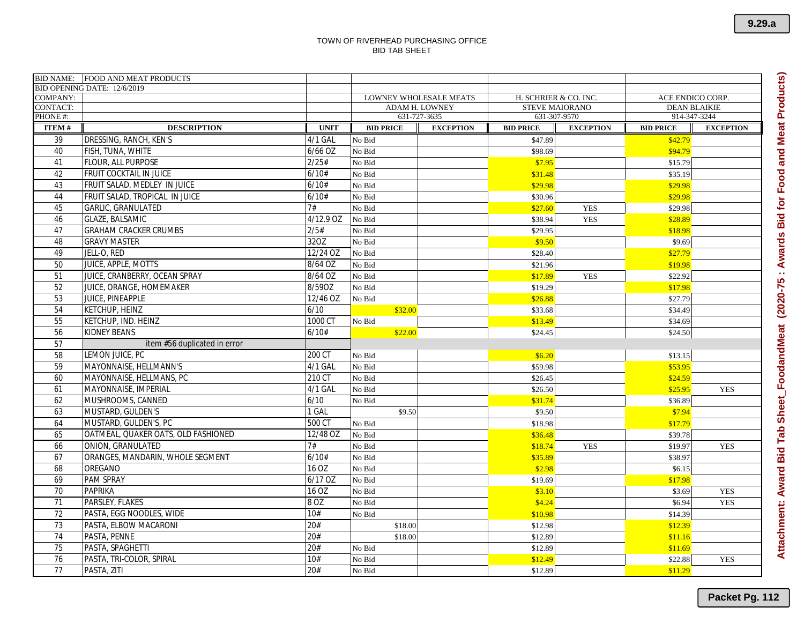|                                    | BID NAME: FOOD AND MEAT PRODUCTS    |             |                  |                                                 |                                                |                  |                                         |                  |
|------------------------------------|-------------------------------------|-------------|------------------|-------------------------------------------------|------------------------------------------------|------------------|-----------------------------------------|------------------|
|                                    | BID OPENING DATE: 12/6/2019         |             |                  |                                                 |                                                |                  |                                         |                  |
| <b>COMPANY:</b><br><b>CONTACT:</b> |                                     |             |                  | LOWNEY WHOLESALE MEATS<br><b>ADAM H. LOWNEY</b> | H. SCHRIER & CO. INC.<br><b>STEVE MAIORANO</b> |                  | ACE ENDICO CORP.<br><b>DEAN BLAIKIE</b> |                  |
| PHONE#:                            |                                     |             |                  | 631-727-3635                                    | 631-307-9570                                   |                  | 914-347-3244                            |                  |
| <b>ITEM#</b>                       | <b>DESCRIPTION</b>                  | <b>UNIT</b> | <b>BID PRICE</b> | <b>EXCEPTION</b>                                | <b>BID PRICE</b>                               | <b>EXCEPTION</b> | <b>BID PRICE</b>                        | <b>EXCEPTION</b> |
| 39                                 | DRESSING, RANCH, KEN'S              | 4/1 GAL     | No Bid           |                                                 | \$47.89                                        |                  | \$42.79                                 |                  |
| 40                                 | FISH, TUNA, WHITE                   | $6/66$ OZ   | No Bid           |                                                 | \$98.69                                        |                  | \$94.79                                 |                  |
| 41                                 | <b>FLOUR, ALL PURPOSE</b>           | 2/25#       | No Bid           |                                                 | \$7.95                                         |                  | \$15.79                                 |                  |
| 42                                 | FRUIT COCKTAIL IN JUICE             | 6/10#       | No Bid           |                                                 | \$31.48                                        |                  | \$35.19                                 |                  |
| 43                                 | FRUIT SALAD, MEDLEY IN JUICE        | 6/10#       | No Bid           |                                                 | \$29.98                                        |                  | \$29.98                                 |                  |
| 44                                 | FRUIT SALAD, TROPICAL IN JUICE      | 6/10#       | No Bid           |                                                 | \$30.96                                        |                  | \$29.98                                 |                  |
| 45                                 | <b>GARLIC, GRANULATED</b>           | 7#          | No Bid           |                                                 | \$27.60                                        | <b>YES</b>       | \$29.98                                 |                  |
| 46                                 | <b>GLAZE, BALSAMIC</b>              | 4/12.9 OZ   | No Bid           |                                                 | \$38.94                                        | <b>YES</b>       | \$28.89                                 |                  |
| 47                                 | <b>GRAHAM CRACKER CRUMBS</b>        | 2/5#        | No Bid           |                                                 | \$29.95                                        |                  | \$18.98                                 |                  |
| 48                                 | <b>GRAVY MASTER</b>                 | 32OZ        | No Bid           |                                                 | \$9.50                                         |                  | \$9.69                                  |                  |
| 49                                 | JELL-O, RED                         | 12/24 OZ    | No Bid           |                                                 | \$28.40                                        |                  | \$27.79                                 |                  |
| 50                                 | JUICE, APPLE, MOTTS                 | 8/64 OZ     | No Bid           |                                                 | \$21.96                                        |                  | \$19.98                                 |                  |
| 51                                 | JUICE, CRANBERRY, OCEAN SPRAY       | 8/64 OZ     | No Bid           |                                                 | \$17.89                                        | <b>YES</b>       | \$22.92                                 |                  |
| 52                                 | JUICE, ORANGE, HOMEMAKER            | 8/59OZ      | No Bid           |                                                 | \$19.29                                        |                  | \$17.98                                 |                  |
| 53                                 | JUICE, PINEAPPLE                    | 12/46 OZ    | No Bid           |                                                 | \$26.88                                        |                  | \$27.79                                 |                  |
| 54                                 | KETCHUP, HEINZ                      | 6/10        | \$32.00          |                                                 | \$33.68                                        |                  | \$34.49                                 |                  |
| 55                                 | KETCHUP, IND. HEINZ                 | 1000 CT     | No Bid           |                                                 | \$13.49                                        |                  | \$34.69                                 |                  |
| 56                                 | KIDNEY BEANS                        | 6/10#       | \$22.00          |                                                 | \$24.45                                        |                  | \$24.50                                 |                  |
| 57                                 | item #56 duplicated in error        |             |                  |                                                 |                                                |                  |                                         |                  |
| 58                                 | LEMON JUICE, PC                     | 200 CT      | No Bid           |                                                 | \$6.20                                         |                  | \$13.15                                 |                  |
| 59                                 | MAYONNAISE, HELLMANN'S              | 4/1 GAL     | No Bid           |                                                 | \$59.98                                        |                  | \$53.95                                 |                  |
| 60                                 | MAYONNAISE, HELLMANS, PC            | 210 CT      | No Bid           |                                                 | \$26.45                                        |                  | \$24.59                                 |                  |
| 61                                 | MAYONNAISE, IMPERIAL                | 4/1 GAL     | No Bid           |                                                 | \$26.50                                        |                  | \$25.95                                 | <b>YES</b>       |
| 62                                 | MUSHROOMS, CANNED                   | 6/10        | No Bid           |                                                 | \$31.74                                        |                  | \$36.89                                 |                  |
| 63                                 | MUSTARD, GULDEN'S                   | 1 GAL       | \$9.50           |                                                 | \$9.50                                         |                  | \$7.94                                  |                  |
| 64                                 | MUSTARD, GULDEN'S, PC               | 500 CT      | No Bid           |                                                 | \$18.98                                        |                  | \$17.79                                 |                  |
| 65                                 | OATMEAL, QUAKER OATS, OLD FASHIONED | 12/48 OZ    | No Bid           |                                                 | \$36.48                                        |                  | \$39.78                                 |                  |
| 66                                 | ONION, GRANULATED                   | 7#          | No Bid           |                                                 | \$18.74                                        | <b>YES</b>       | \$19.97                                 | <b>YES</b>       |
| 67                                 | ORANGES, MANDARIN, WHOLE SEGMENT    | 6/10#       | No Bid           |                                                 | \$35.89                                        |                  | \$38.97                                 |                  |
| 68                                 | OREGANO                             | 16 OZ       | No Bid           |                                                 | \$2.98                                         |                  | \$6.15                                  |                  |
| 69                                 | <b>PAM SPRAY</b>                    | 6/17 OZ     | No Bid           |                                                 | \$19.69                                        |                  | \$17.98                                 |                  |
| 70                                 | <b>PAPRIKA</b>                      | 16 OZ       | No Bid           |                                                 | \$3.10                                         |                  | \$3.69                                  | <b>YES</b>       |
| 71                                 | PARSLEY, FLAKES                     | 8 OZ        | No Bid           |                                                 | \$4.24                                         |                  | \$6.94                                  | <b>YES</b>       |
| 72                                 | PASTA, EGG NOODLES, WIDE            | 10#         | No Bid           |                                                 | \$10.98                                        |                  | \$14.39                                 |                  |
| 73                                 | PASTA, ELBOW MACARONI               | 20#         | \$18.00          |                                                 | \$12.98                                        |                  | \$12.39                                 |                  |
| 74                                 | PASTA, PENNE                        | 20#         | \$18.00          |                                                 | \$12.89                                        |                  | \$11.16                                 |                  |
| 75                                 | PASTA, SPAGHETTI                    | 20#         | No Bid           |                                                 | \$12.89                                        |                  | \$11.69                                 |                  |
| 76                                 | PASTA, TRI-COLOR, SPIRAL            | 10#         | No Bid           |                                                 | \$12.49                                        |                  | \$22.88                                 | <b>YES</b>       |
| 77                                 | PASTA, ZITI                         | 20#         | No Bid           |                                                 | \$12.89                                        |                  | \$11.29                                 |                  |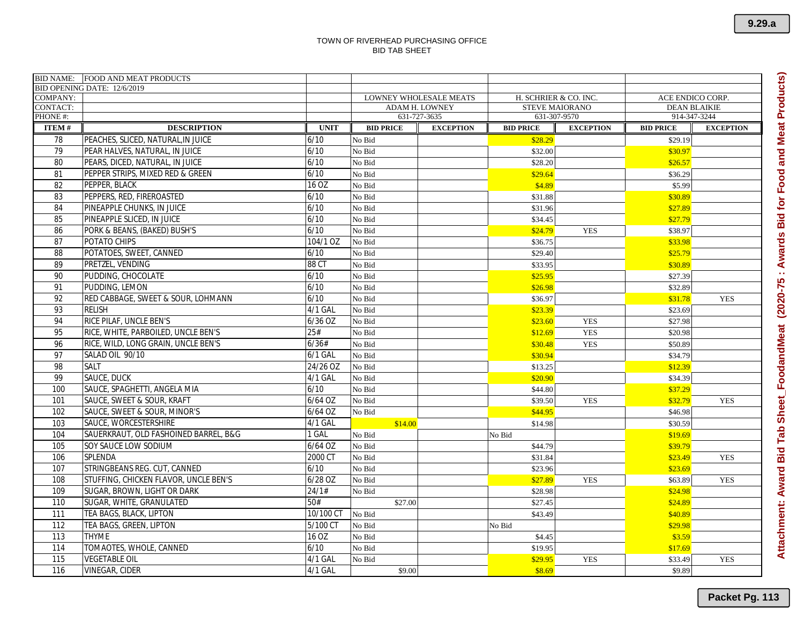|                                    | BID NAME: FOOD AND MEAT PRODUCTS      |             |                  |                                                 |                                                |                  |                                         |                  |  |
|------------------------------------|---------------------------------------|-------------|------------------|-------------------------------------------------|------------------------------------------------|------------------|-----------------------------------------|------------------|--|
|                                    | BID OPENING DATE: 12/6/2019           |             |                  |                                                 |                                                |                  |                                         |                  |  |
| <b>COMPANY:</b><br><b>CONTACT:</b> |                                       |             |                  | LOWNEY WHOLESALE MEATS<br><b>ADAM H. LOWNEY</b> | H. SCHRIER & CO. INC.<br><b>STEVE MAIORANO</b> |                  | ACE ENDICO CORP.<br><b>DEAN BLAIKIE</b> |                  |  |
| PHONE#:                            |                                       |             |                  | 631-727-3635                                    | 631-307-9570<br>914-347-3244                   |                  |                                         |                  |  |
| <b>ITEM#</b>                       | <b>DESCRIPTION</b>                    | <b>UNIT</b> | <b>BID PRICE</b> | <b>EXCEPTION</b>                                | <b>BID PRICE</b>                               | <b>EXCEPTION</b> | <b>BID PRICE</b>                        | <b>EXCEPTION</b> |  |
| 78                                 | PEACHES, SLICED, NATURAL, IN JUICE    | 6/10        | No Bid           |                                                 | \$28.29                                        |                  | \$29.19                                 |                  |  |
| 79                                 | PEAR HALVES, NATURAL, IN JUICE        | 6/10        | No Bid           |                                                 | \$32.00                                        |                  | \$30.97                                 |                  |  |
| 80                                 | PEARS, DICED, NATURAL, IN JUICE       | 6/10        | No Bid           |                                                 | \$28.20                                        |                  | \$26.57                                 |                  |  |
| 81                                 | PEPPER STRIPS, MIXED RED & GREEN      | 6/10        | No Bid           |                                                 | \$29.64                                        |                  | \$36.29                                 |                  |  |
| 82                                 | PEPPER, BLACK                         | 16 OZ       | No Bid           |                                                 | \$4.89                                         |                  | \$5.99                                  |                  |  |
| 83                                 | PEPPERS, RED, FIREROASTED             | 6/10        | No Bid           |                                                 | \$31.88                                        |                  | \$30.89                                 |                  |  |
| 84                                 | PINEAPPLE CHUNKS. IN JUICE            | 6/10        | No Bid           |                                                 | \$31.96                                        |                  | \$27.89                                 |                  |  |
| 85                                 | PINEAPPLE SLICED. IN JUICE            | 6/10        | No Bid           |                                                 | \$34.45                                        |                  | \$27.79                                 |                  |  |
| 86                                 | PORK & BEANS, (BAKED) BUSH'S          | 6/10        | No Bid           |                                                 | \$24.79                                        | <b>YES</b>       | \$38.97                                 |                  |  |
| 87                                 | POTATO CHIPS                          | 104/1 OZ    | No Bid           |                                                 | \$36.75                                        |                  | \$33.98                                 |                  |  |
| 88                                 | POTATOES, SWEET, CANNED               | 6/10        | No Bid           |                                                 | \$29.40                                        |                  | \$25.79                                 |                  |  |
| 89                                 | PRETZEL, VENDING                      | 88 CT       | No Bid           |                                                 | \$33.95                                        |                  | \$30.89                                 |                  |  |
| 90                                 | PUDDING, CHOCOLATE                    | 6/10        | No Bid           |                                                 | \$25.95                                        |                  | \$27.39                                 |                  |  |
| 91                                 | PUDDING, LEMON                        | 6/10        | No Bid           |                                                 | \$26.98                                        |                  | \$32.89                                 |                  |  |
| 92                                 | RED CABBAGE, SWEET & SOUR, LOHMANN    | 6/10        | No Bid           |                                                 | \$36.97                                        |                  | \$31.78                                 | <b>YES</b>       |  |
| 93                                 | <b>RELISH</b>                         | 4/1 GAL     | No Bid           |                                                 | \$23.39                                        |                  | \$23.69                                 |                  |  |
| 94                                 | RICE PILAF, UNCLE BEN'S               | $6/36$ OZ   | No Bid           |                                                 | \$23.60                                        | <b>YES</b>       | \$27.98                                 |                  |  |
| 95                                 | RICE, WHITE, PARBOILED, UNCLE BEN'S   | 25#         | No Bid           |                                                 | \$12.69                                        | <b>YES</b>       | \$20.98                                 |                  |  |
| 96                                 | RICE, WILD, LONG GRAIN, UNCLE BEN'S   | 6/36#       | No Bid           |                                                 | \$30.48                                        | <b>YES</b>       | \$50.89                                 |                  |  |
| 97                                 | SALAD OIL 90/10                       | $6/1$ GAL   | No Bid           |                                                 | \$30.94                                        |                  | \$34.79                                 |                  |  |
| 98                                 | SALT                                  | 24/26 OZ    | No Bid           |                                                 | \$13.25                                        |                  | \$12.39                                 |                  |  |
| 99                                 | SAUCE, DUCK                           | 4/1 GAL     | No Bid           |                                                 | \$20.90                                        |                  | \$34.39                                 |                  |  |
| 100                                | SAUCE, SPAGHETTI, ANGELA MIA          | 6/10        | No Bid           |                                                 | \$44.80                                        |                  | \$37.29                                 |                  |  |
| 101                                | SAUCE, SWEET & SOUR, KRAFT            | $6/64$ OZ   | No Bid           |                                                 | \$39.50                                        | <b>YES</b>       | \$32.79                                 | <b>YES</b>       |  |
| 102                                | SAUCE, SWEET & SOUR, MINOR'S          | $6/64$ OZ   | No Bid           |                                                 | \$44.95                                        |                  | \$46.98                                 |                  |  |
| 103                                | SAUCE, WORCESTERSHIRE                 | 4/1 GAL     | \$14.00          |                                                 | \$14.98                                        |                  | \$30.59                                 |                  |  |
| 104                                | SAUERKRAUT, OLD FASHOINED BARREL, B&G | 1 GAL       | No Bid           |                                                 | No Bid                                         |                  | \$19.69                                 |                  |  |
| 105                                | SOY SAUCE LOW SODIUM                  | 6/64 OZ     | No Bid           |                                                 | \$44.79                                        |                  | \$39.79                                 |                  |  |
| 106                                | SPLENDA                               | 2000 CT     | No Bid           |                                                 | \$31.84                                        |                  | \$23.49                                 | <b>YES</b>       |  |
| 107                                | STRINGBEANS REG. CUT, CANNED          | 6/10        | No Bid           |                                                 | \$23.96                                        |                  | \$23.69                                 |                  |  |
| 108                                | STUFFING, CHICKEN FLAVOR, UNCLE BEN'S | 6/28 OZ     | No Bid           |                                                 | \$27.89                                        | <b>YES</b>       | \$63.89                                 | <b>YES</b>       |  |
| 109                                | SUGAR, BROWN, LIGHT OR DARK           | 24/1#       | No Bid           |                                                 | \$28.98                                        |                  | \$24.98                                 |                  |  |
| 110                                | SUGAR, WHITE, GRANULATED              | 50#         | \$27.00          |                                                 | \$27.45                                        |                  | \$24.89                                 |                  |  |
| 111                                | TEA BAGS, BLACK, LIPTON               | 10/100 CT   | No Bid           |                                                 | \$43.49                                        |                  | \$40.89                                 |                  |  |
| 112                                | TEA BAGS, GREEN, LIPTON               | 5/100 CT    | No Bid           |                                                 | No Bid                                         |                  | \$29.98                                 |                  |  |
| 113                                | THYME                                 | 16 OZ       | No Bid           |                                                 | \$4.45                                         |                  | \$3.59                                  |                  |  |
| 114                                | TOMAOTES, WHOLE, CANNED               | 6/10        | No Bid           |                                                 | \$19.95                                        |                  | \$17.69                                 |                  |  |
| 115                                | <b>VEGETABLE OIL</b>                  | 4/1 GAL     | No Bid           |                                                 | \$29.95                                        | <b>YES</b>       | \$33.49                                 | <b>YES</b>       |  |
| 116                                | VINEGAR, CIDER                        | 4/1 GAL     | \$9.00           |                                                 | \$8.69                                         |                  | \$9.89                                  |                  |  |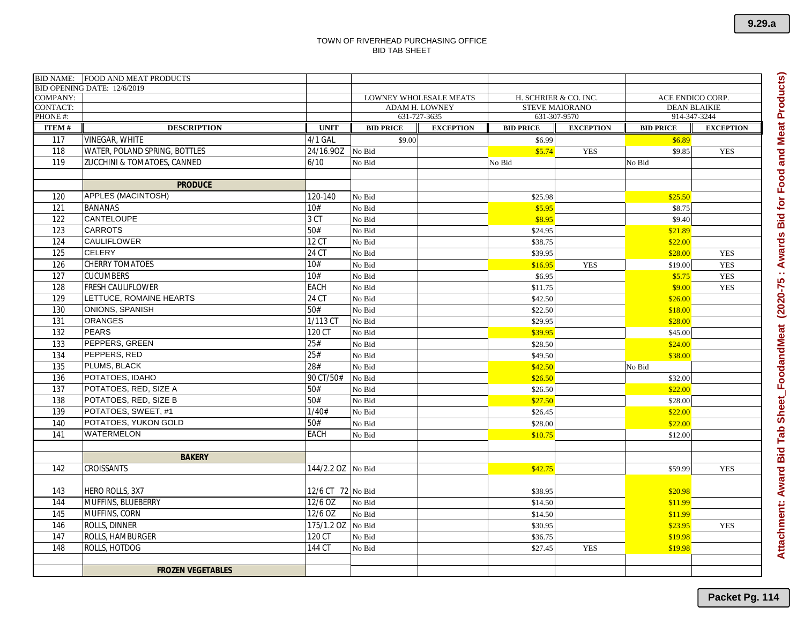|                 | BID NAME: FOOD AND MEAT PRODUCTS |                   |                  |                                                 |                                                                                           |                  |                  |                  |
|-----------------|----------------------------------|-------------------|------------------|-------------------------------------------------|-------------------------------------------------------------------------------------------|------------------|------------------|------------------|
| <b>COMPANY:</b> | BID OPENING DATE: 12/6/2019      |                   |                  |                                                 |                                                                                           |                  |                  |                  |
| CONTACT:        |                                  |                   |                  | LOWNEY WHOLESALE MEATS<br><b>ADAM H. LOWNEY</b> | H. SCHRIER & CO. INC.<br>ACE ENDICO CORP.<br><b>STEVE MAIORANO</b><br><b>DEAN BLAIKIE</b> |                  |                  |                  |
| PHONE #:        |                                  |                   | 631-727-3635     |                                                 | 631-307-9570                                                                              |                  | 914-347-3244     |                  |
| <b>ITEM#</b>    | <b>DESCRIPTION</b>               | <b>UNIT</b>       | <b>BID PRICE</b> | <b>EXCEPTION</b>                                | <b>BID PRICE</b>                                                                          | <b>EXCEPTION</b> | <b>BID PRICE</b> | <b>EXCEPTION</b> |
| 117             | VINEGAR, WHITE                   | 4/1 GAL           | \$9.00           |                                                 | \$6.99                                                                                    |                  | \$6.89           |                  |
| 118             | WATER, POLAND SPRING, BOTTLES    | 24/16.90Z         | No Bid           |                                                 | \$5.74                                                                                    | <b>YES</b>       | \$9.85           | <b>YES</b>       |
| 119             | ZUCCHINI & TOMATOES, CANNED      | 6/10              | No Bid           |                                                 | No Bid                                                                                    |                  | No Bid           |                  |
|                 |                                  |                   |                  |                                                 |                                                                                           |                  |                  |                  |
|                 | <b>PRODUCE</b>                   |                   |                  |                                                 |                                                                                           |                  |                  |                  |
| 120             | APPLES (MACINTOSH)               | 120-140           | No Bid           |                                                 | \$25.98                                                                                   |                  | \$25.50          |                  |
| 121             | <b>BANANAS</b>                   | 10#               | No Bid           |                                                 | \$5.95                                                                                    |                  | \$8.75           |                  |
| 122             | CANTELOUPE                       | 3 CT              | No Bid           |                                                 | \$8.95                                                                                    |                  | \$9.40           |                  |
| 123             | <b>CARROTS</b>                   | 50#               | No Bid           |                                                 | \$24.95                                                                                   |                  | \$21.89          |                  |
| 124             | CAULIFLOWER                      | 12 CT             | No Bid           |                                                 | \$38.75                                                                                   |                  | \$22.00          |                  |
| 125             | <b>CELERY</b>                    | 24 CT             | No Bid           |                                                 | \$39.95                                                                                   |                  | \$28.00          | <b>YES</b>       |
| 126             | CHERRY TOMATOES                  | 10#               | No Bid           |                                                 | \$16.95                                                                                   | <b>YES</b>       | \$19.00          | <b>YES</b>       |
| 127             | <b>CUCUMBERS</b>                 | 10#               | No Bid           |                                                 | \$6.95                                                                                    |                  | \$5.75           | <b>YES</b>       |
| 128             | FRESH CAULIFLOWER                | EACH              | No Bid           |                                                 | \$11.75                                                                                   |                  | \$9.00           | <b>YES</b>       |
| 129             | LETTUCE, ROMAINE HEARTS          | 24 CT             | No Bid           |                                                 | \$42.50                                                                                   |                  | \$26.00          |                  |
| 130             | <b>ONIONS, SPANISH</b>           | 50#               | No Bid           |                                                 | \$22.50                                                                                   |                  | \$18.00          |                  |
| 131             | <b>ORANGES</b>                   | 1/113 CT          | No Bid           |                                                 | \$29.95                                                                                   |                  | \$28.00          |                  |
| 132             | <b>PEARS</b>                     | 120 CT            | No Bid           |                                                 | \$39.95                                                                                   |                  | \$45.00          |                  |
| 133             | PEPPERS, GREEN                   | 25#               | No Bid           |                                                 | \$28.50                                                                                   |                  | \$24.00          |                  |
| 134             | PEPPERS, RED                     | 25#               | No Bid           |                                                 | \$49.50                                                                                   |                  | \$38.00          |                  |
| 135             | PLUMS, BLACK                     | 28#               | No Bid           |                                                 | \$42.50                                                                                   |                  | No Bid           |                  |
| 136             | POTATOES, IDAHO                  | 90 CT/50#         | No Bid           |                                                 | \$26.50                                                                                   |                  | \$32.00          |                  |
| 137             | POTATOES, RED, SIZE A            | 50#               | No Bid           |                                                 | \$26.50                                                                                   |                  | \$22.00          |                  |
| 138             | POTATOES, RED, SIZE B            | 50#               | No Bid           |                                                 | \$27.50                                                                                   |                  | \$28.00          |                  |
| 139             | POTATOES, SWEET, #1              | 1/40#             | No Bid           |                                                 | \$26.45                                                                                   |                  | \$22.00          |                  |
| 140             | POTATOES, YUKON GOLD             | 50#               | No Bid           |                                                 | \$28.00                                                                                   |                  | \$22.00          |                  |
| 141             | WATERMELON                       | EACH              | No Bid           |                                                 | \$10.75                                                                                   |                  | \$12.00          |                  |
|                 |                                  |                   |                  |                                                 |                                                                                           |                  |                  |                  |
|                 | <b>BAKERY</b>                    |                   |                  |                                                 |                                                                                           |                  |                  |                  |
| 142             | CROISSANTS                       | 144/2.2 OZ        | No Bid           |                                                 | \$42.75                                                                                   |                  | \$59.99          | <b>YES</b>       |
|                 |                                  |                   |                  |                                                 |                                                                                           |                  |                  |                  |
| 143             | HERO ROLLS, 3X7                  | 12/6 CT 72 No Bid |                  |                                                 | \$38.95                                                                                   |                  | \$20.98          |                  |
| 144             | MUFFINS, BLUEBERRY               | 12/6 OZ           | No Bid           |                                                 | \$14.50                                                                                   |                  | \$11.99          |                  |
| 145             | MUFFINS, CORN                    | 12/6 OZ           | No Bid           |                                                 | \$14.50                                                                                   |                  | \$11.99          |                  |
| 146             | ROLLS, DINNER                    | $175/1.2$ OZ      | No Bid           |                                                 | \$30.95                                                                                   |                  | \$23.95          | <b>YES</b>       |
| 147             | ROLLS, HAMBURGER                 | 120 CT            | No Bid           |                                                 | \$36.75                                                                                   |                  | \$19.98          |                  |
| 148             | ROLLS, HOTDOG                    | 144 CT            | No Bid           |                                                 | \$27.45                                                                                   | <b>YES</b>       | \$19.98          |                  |
|                 |                                  |                   |                  |                                                 |                                                                                           |                  |                  |                  |
|                 | <b>FROZEN VEGETABLES</b>         |                   |                  |                                                 |                                                                                           |                  |                  |                  |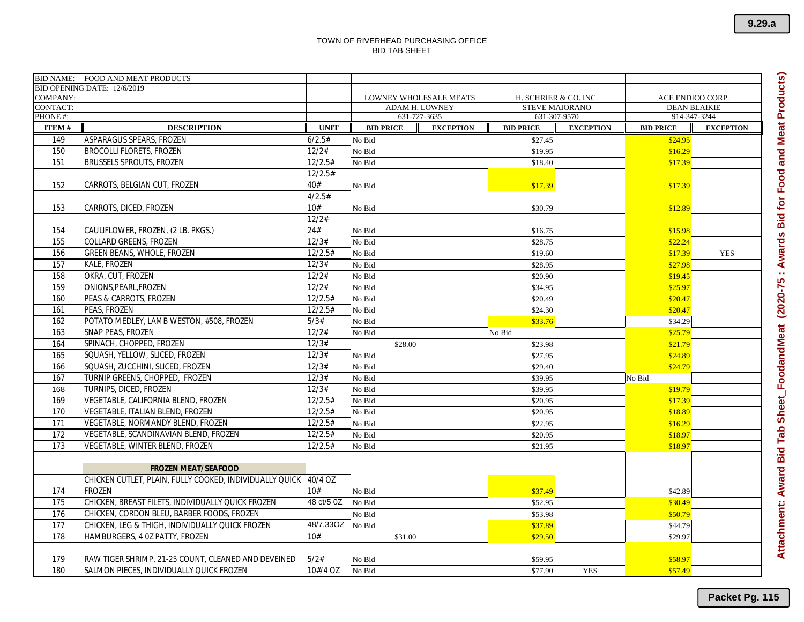|                      | BID NAME: FOOD AND MEAT PRODUCTS                        |             |                                                 |                                                |                                     |                  |
|----------------------|---------------------------------------------------------|-------------|-------------------------------------------------|------------------------------------------------|-------------------------------------|------------------|
|                      | BID OPENING DATE: 12/6/2019                             |             |                                                 |                                                |                                     |                  |
| COMPANY:<br>CONTACT: |                                                         |             | <b>LOWNEY WHOLESALE MEATS</b><br>ADAM H. LOWNEY | H. SCHRIER & CO. INC.<br><b>STEVE MAIORANO</b> | ACE ENDICO CORP.                    |                  |
| PHONE #:             |                                                         |             | 631-727-3635                                    | 631-307-9570                                   | <b>DEAN BLAIKIE</b><br>914-347-3244 |                  |
| <b>ITEM#</b>         | <b>DESCRIPTION</b>                                      | <b>UNIT</b> | <b>BID PRICE</b><br><b>EXCEPTION</b>            | <b>BID PRICE</b><br><b>EXCEPTION</b>           | <b>BID PRICE</b>                    | <b>EXCEPTION</b> |
| 149                  | ASPARAGUS SPEARS, FROZEN                                | 6/2.5#      | No Bid                                          | \$27.45                                        | \$24.95                             |                  |
| 150                  | <b>BROCOLLI FLORETS, FROZEN</b>                         | 12/2#       | No Bid                                          | \$19.95                                        | \$16.29                             |                  |
| 151                  | <b>BRUSSELS SPROUTS, FROZEN</b>                         | 12/2.5#     | No Bid                                          | \$18.40                                        | \$17.39                             |                  |
|                      |                                                         | 12/2.5#     |                                                 |                                                |                                     |                  |
| 152                  | CARROTS, BELGIAN CUT, FROZEN                            | 40#         | No Bid                                          | \$17.39                                        | \$17.39                             |                  |
|                      |                                                         | 4/2.5#      |                                                 |                                                |                                     |                  |
| 153                  | CARROTS, DICED, FROZEN                                  | 10#         | No Bid                                          | \$30.79                                        | \$12.89                             |                  |
|                      |                                                         | 12/2#       |                                                 |                                                |                                     |                  |
| 154                  | CAULIFLOWER, FROZEN, (2 LB. PKGS.)                      | 24#         | No Bid                                          | \$16.75                                        | \$15.98                             |                  |
| 155                  | COLLARD GREENS, FROZEN                                  | 12/3#       | No Bid                                          | \$28.75                                        | \$22.24                             |                  |
| 156                  | <b>GREEN BEANS, WHOLE, FROZEN</b>                       | 12/2.5#     | No Bid                                          | \$19.60                                        | \$17.39                             | <b>YES</b>       |
| 157                  | <b>KALE, FROZEN</b>                                     | 12/3#       | No Bid                                          | \$28.95                                        | \$27.98                             |                  |
| 158                  | OKRA, CUT, FROZEN                                       | 12/2#       | No Bid                                          | \$20.90                                        | \$19.45                             |                  |
| 159                  | ONIONS, PEARL, FROZEN                                   | 12/2#       | No Bid                                          | \$34.95                                        | \$25.97                             |                  |
| 160                  | PEAS & CARROTS, FROZEN                                  | 12/2.5#     | No Bid                                          | \$20.49                                        | \$20.47                             |                  |
| 161                  | PEAS, FROZEN                                            | 12/2.5#     | No Bid                                          | \$24.30                                        | \$20.47                             |                  |
| 162                  | POTATO MEDLEY, LAMB WESTON, #508, FROZEN                | 5/3#        | No Bid                                          | \$33.76                                        | \$34.29                             |                  |
| 163                  | SNAP PEAS, FROZEN                                       | 12/2#       | No Bid                                          | No Bid                                         | \$25.79                             |                  |
| 164                  | SPINACH, CHOPPED, FROZEN                                | 12/3#       | \$28.00                                         | \$23.98                                        | \$21.79                             |                  |
| 165                  | SQUASH, YELLOW, SLICED, FROZEN                          | 12/3#       | No Bid                                          | \$27.95                                        | \$24.89                             |                  |
| 166                  | SQUASH, ZUCCHINI, SLICED, FROZEN                        | 12/3#       | No Bid                                          | \$29.40                                        | \$24.79                             |                  |
| 167                  | TURNIP GREENS, CHOPPED, FROZEN                          | 12/3#       | No Bid                                          | \$39.95                                        | No Bid                              |                  |
| 168                  | TURNIPS, DICED, FROZEN                                  | 12/3#       | No Bid                                          | \$39.95                                        | \$19.79                             |                  |
| 169                  | VEGETABLE, CALIFORNIA BLEND, FROZEN                     | 12/2.5#     | No Bid                                          | \$20.95                                        | \$17.39                             |                  |
| 170                  | VEGETABLE, ITALIAN BLEND, FROZEN                        | 12/2.5#     | No Bid                                          | \$20.95                                        | \$18.89                             |                  |
| 171                  | VEGETABLE, NORMANDY BLEND, FROZEN                       | 12/2.5#     | No Bid                                          | \$22.95                                        | \$16.29                             |                  |
| 172                  | VEGETABLE, SCANDINAVIAN BLEND, FROZEN                   | 12/2.5#     | No Bid                                          | \$20.95                                        | \$18.97                             |                  |
| 173                  | VEGETABLE, WINTER BLEND, FROZEN                         | 12/2.5#     | No Bid                                          | \$21.95                                        | \$18.97                             |                  |
|                      |                                                         |             |                                                 |                                                |                                     |                  |
|                      | <b>FROZEN MEAT/SEAFOOD</b>                              |             |                                                 |                                                |                                     |                  |
|                      | CHICKEN CUTLET, PLAIN, FULLY COOKED, INDIVIDUALLY QUICK | 40/4 OZ     |                                                 |                                                |                                     |                  |
| 174                  | <b>FROZEN</b>                                           | 10#         | No Bid                                          | \$37.49                                        | \$42.89                             |                  |
| 175                  | CHICKEN, BREAST FILETS, INDIVIDUALLY QUICK FROZEN       | 48 ct/5 0Z  | No Bid                                          | \$52.95                                        | \$30.49                             |                  |
| 176                  | CHICKEN, CORDON BLEU, BARBER FOODS, FROZEN              |             | No Bid                                          | \$53.98                                        | \$50.79                             |                  |
| 177                  | CHICKEN, LEG & THIGH, INDIVIDUALLY QUICK FROZEN         | 48/7.33OZ   | No Bid                                          | \$37.89                                        | \$44.79                             |                  |
| 178                  | HAMBURGERS, 4 OZ PATTY, FROZEN                          | 10#         | \$31.00                                         | \$29.50                                        | \$29.97                             |                  |
|                      |                                                         |             |                                                 |                                                |                                     |                  |
| 179                  | RAW TIGER SHRIMP, 21-25 COUNT, CLEANED AND DEVEINED     | 5/2#        | No Bid                                          | \$59.95                                        | \$58.97                             |                  |
| 180                  | SALMON PIECES, INDIVIDUALLY QUICK FROZEN                | 10#/4 OZ    | No Bid                                          | \$77.90<br><b>YES</b>                          | \$57.49                             |                  |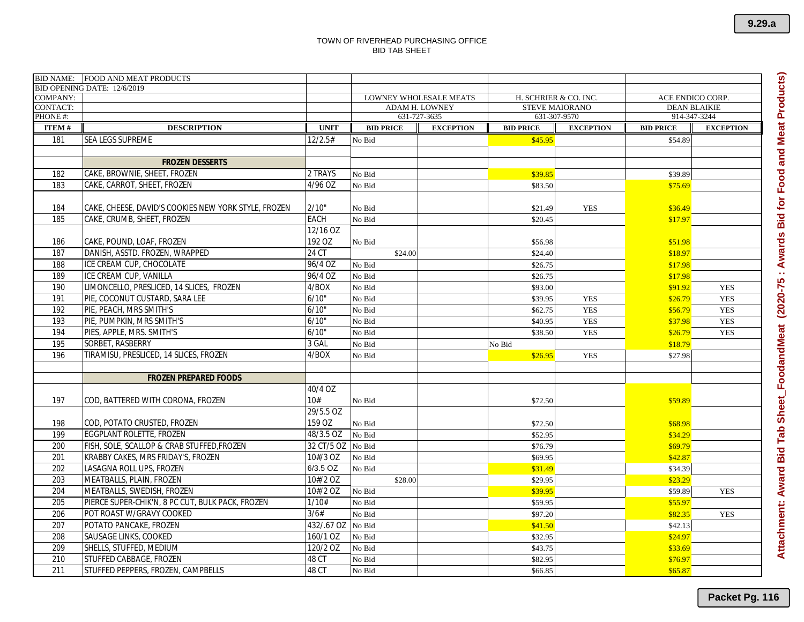|                                    | BID NAME: FOOD AND MEAT PRODUCTS                     |             |                  |                                                        |                                                |                  |                                         |                  |
|------------------------------------|------------------------------------------------------|-------------|------------------|--------------------------------------------------------|------------------------------------------------|------------------|-----------------------------------------|------------------|
|                                    | BID OPENING DATE: 12/6/2019                          |             |                  |                                                        |                                                |                  |                                         |                  |
| <b>COMPANY:</b><br><b>CONTACT:</b> |                                                      |             |                  | <b>LOWNEY WHOLESALE MEATS</b><br><b>ADAM H. LOWNEY</b> | H. SCHRIER & CO. INC.<br><b>STEVE MAIORANO</b> |                  | ACE ENDICO CORP.<br><b>DEAN BLAIKIE</b> |                  |
| PHONE #:                           |                                                      |             |                  | 631-727-3635                                           | 631-307-9570                                   |                  | 914-347-3244                            |                  |
| <b>ITEM#</b>                       | <b>DESCRIPTION</b>                                   | <b>UNIT</b> | <b>BID PRICE</b> | <b>EXCEPTION</b>                                       | <b>BID PRICE</b>                               | <b>EXCEPTION</b> | <b>BID PRICE</b>                        | <b>EXCEPTION</b> |
| 181                                | <b>SEA LEGS SUPREME</b>                              | 12/2.5#     | No Bid           |                                                        | \$45.95                                        |                  | \$54.89                                 |                  |
|                                    |                                                      |             |                  |                                                        |                                                |                  |                                         |                  |
|                                    | <b>FROZEN DESSERTS</b>                               |             |                  |                                                        |                                                |                  |                                         |                  |
| 182                                | CAKE, BROWNIE, SHEET, FROZEN                         | 2 TRAYS     | No Bid           |                                                        | \$39.85                                        |                  | \$39.89                                 |                  |
| 183                                | CAKE, CARROT, SHEET, FROZEN                          | 4/96 OZ     | No Bid           |                                                        | \$83.50                                        |                  | \$75.69                                 |                  |
|                                    |                                                      |             |                  |                                                        |                                                |                  |                                         |                  |
| 184                                | CAKE, CHEESE, DAVID'S COOKIES NEW YORK STYLE, FROZEN | 2/10"       | No Bid           |                                                        | \$21.49                                        | <b>YES</b>       | \$36.49                                 |                  |
| 185                                | CAKE, CRUMB, SHEET, FROZEN                           | EACH        | No Bid           |                                                        | \$20.45                                        |                  | \$17.97                                 |                  |
|                                    |                                                      | 12/16 OZ    |                  |                                                        |                                                |                  |                                         |                  |
| 186                                | CAKE, POUND, LOAF, FROZEN                            | 192 OZ      | No Bid           |                                                        | \$56.98                                        |                  | \$51.98                                 |                  |
| 187                                | DANISH, ASSTD. FROZEN, WRAPPED                       | 24 CT       | \$24.00          |                                                        | \$24.40                                        |                  | \$18.97                                 |                  |
| 188                                | ICE CREAM CUP, CHOCOLATE                             | 96/4 OZ     | No Bid           |                                                        | \$26.75                                        |                  | \$17.98                                 |                  |
| 189                                | ICE CREAM CUP, VANILLA                               | 96/4 OZ     | No Bid           |                                                        | \$26.75                                        |                  | \$17.98                                 |                  |
| 190                                | LIMONCELLO, PRESLICED, 14 SLICES, FROZEN             | 4/BOX       | No Bid           |                                                        | \$93.00                                        |                  | \$91.92                                 | <b>YES</b>       |
| 191                                | PIE, COCONUT CUSTARD, SARA LEE                       | 6/10"       | No Bid           |                                                        | \$39.95                                        | <b>YES</b>       | \$26.79                                 | <b>YES</b>       |
| 192                                | PIE, PEACH, MRS SMITH'S                              | 6/10"       | No Bid           |                                                        | \$62.75                                        | <b>YES</b>       | \$56.79                                 | <b>YES</b>       |
| 193                                | PIE, PUMPKIN, MRS SMITH'S                            | 6/10"       | No Bid           |                                                        | \$40.95                                        | <b>YES</b>       | \$37.98                                 | <b>YES</b>       |
| 194                                | PIES, APPLE, MRS. SMITH'S                            | 6/10'       | No Bid           |                                                        | \$38.50                                        | <b>YES</b>       | \$26.79                                 | <b>YES</b>       |
| 195                                | SORBET, RASBERRY                                     | 3 GAL       | No Bid           |                                                        | No Bid                                         |                  | \$18.79                                 |                  |
| 196                                | TIRAMISU, PRESLICED, 14 SLICES, FROZEN               | 4/BOX       | No Bid           |                                                        | \$26.95                                        | <b>YES</b>       | \$27.98                                 |                  |
|                                    |                                                      |             |                  |                                                        |                                                |                  |                                         |                  |
|                                    | <b>FROZEN PREPARED FOODS</b>                         |             |                  |                                                        |                                                |                  |                                         |                  |
|                                    |                                                      | 40/4 OZ     |                  |                                                        |                                                |                  |                                         |                  |
| 197                                | COD, BATTERED WITH CORONA, FROZEN                    | 10#         | No Bid           |                                                        | \$72.50                                        |                  | \$59.89                                 |                  |
|                                    |                                                      | 29/5.5 OZ   |                  |                                                        |                                                |                  |                                         |                  |
| 198                                | COD, POTATO CRUSTED, FROZEN                          | 159 OZ      | No Bid           |                                                        | \$72.50                                        |                  | \$68.98                                 |                  |
| 199                                | EGGPLANT ROLETTE, FROZEN                             | 48/3.5 OZ   | No Bid           |                                                        | \$52.95                                        |                  | \$34.29                                 |                  |
| 200                                | FISH, SOLE, SCALLOP & CRAB STUFFED, FROZEN           | 32 CT/5 OZ  | No Bid           |                                                        | \$76.79                                        |                  | \$69.79                                 |                  |
| 201                                | KRABBY CAKES, MRS FRIDAY'S, FROZEN                   | 10#/3 OZ    | No Bid           |                                                        | \$69.95                                        |                  | \$42.87                                 |                  |
| 202                                | LASAGNA ROLL UPS, FROZEN                             | 6/3.5 OZ    | No Bid           |                                                        | \$31.49                                        |                  | \$34.39                                 |                  |
| 203                                | MEATBALLS, PLAIN, FROZEN                             | 10#/2 OZ    | \$28.00          |                                                        | \$29.95                                        |                  | \$23.29                                 |                  |
| 204                                | MEATBALLS, SWEDISH, FROZEN                           | 10#/2 OZ    | No Bid           |                                                        | \$39.95                                        |                  | \$59.89                                 | <b>YES</b>       |
| 205                                | PIERCE SUPER-CHIK'N, 8 PC CUT, BULK PACK, FROZEN     | 1/10#       | No Bid           |                                                        | \$59.95                                        |                  | \$55.97                                 |                  |
| 206                                | POT ROAST W/GRAVY COOKED                             | 3/6#        | No Bid           |                                                        | \$97.20                                        |                  | \$82.35                                 | <b>YES</b>       |
| 207                                | POTATO PANCAKE, FROZEN                               | 432/.67 OZ  | No Bid           |                                                        | \$41.50                                        |                  | \$42.13                                 |                  |
| 208                                | <b>SAUSAGE LINKS, COOKED</b>                         | 160/1 OZ    | No Bid           |                                                        | \$32.95                                        |                  | \$24.97                                 |                  |
| 209                                | SHELLS, STUFFED, MEDIUM                              | 120/2 OZ    | No Bid           |                                                        | \$43.75                                        |                  | \$33.69                                 |                  |
| 210                                | STUFFED CABBAGE, FROZEN                              | 48 CT       | No Bid           |                                                        | \$82.95                                        |                  | \$76.97                                 |                  |
| 211                                | STUFFED PEPPERS, FROZEN, CAMPBELLS                   | 48 CT       | No Bid           |                                                        | \$66.85                                        |                  | \$65.87                                 |                  |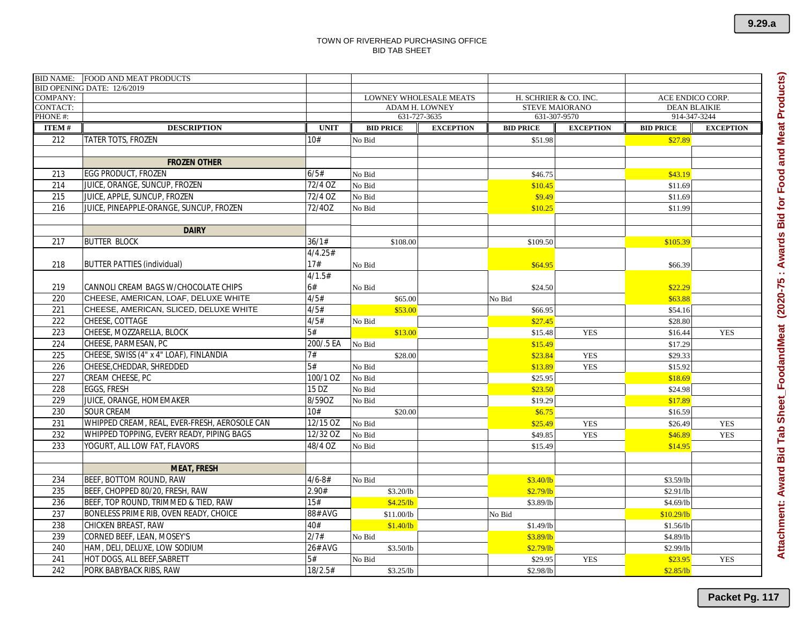|                 | BID NAME: FOOD AND MEAT PRODUCTS              |             |                  |                                                        |                                                |                     |                  |                  |
|-----------------|-----------------------------------------------|-------------|------------------|--------------------------------------------------------|------------------------------------------------|---------------------|------------------|------------------|
| <b>COMPANY:</b> | BID OPENING DATE: 12/6/2019                   |             |                  |                                                        |                                                |                     | ACE ENDICO CORP. |                  |
| <b>CONTACT:</b> |                                               |             |                  | <b>LOWNEY WHOLESALE MEATS</b><br><b>ADAM H. LOWNEY</b> | H. SCHRIER & CO. INC.<br><b>STEVE MAIORANO</b> | <b>DEAN BLAIKIE</b> |                  |                  |
| PHONE #:        |                                               |             |                  | 631-727-3635                                           | 631-307-9570                                   |                     | 914-347-3244     |                  |
| <b>ITEM#</b>    | <b>DESCRIPTION</b>                            | <b>UNIT</b> | <b>BID PRICE</b> | <b>EXCEPTION</b>                                       | <b>BID PRICE</b>                               | <b>EXCEPTION</b>    | <b>BID PRICE</b> | <b>EXCEPTION</b> |
| 212             | TATER TOTS, FROZEN                            | 10#         | No Bid           |                                                        | \$51.98                                        |                     | \$27.89          |                  |
|                 |                                               |             |                  |                                                        |                                                |                     |                  |                  |
|                 | <b>FROZEN OTHER</b>                           |             |                  |                                                        |                                                |                     |                  |                  |
| 213             | EGG PRODUCT, FROZEN                           | 6/5#        | No Bid           |                                                        | \$46.75                                        |                     | \$43.19          |                  |
| 214             | JUICE, ORANGE, SUNCUP, FROZEN                 | 72/4 OZ     | No Bid           |                                                        | \$10.45                                        |                     | \$11.69          |                  |
| 215             | JUICE, APPLE, SUNCUP, FROZEN                  | 72/4 OZ     | No Bid           |                                                        | \$9.49                                         |                     | \$11.69          |                  |
| 216             | JUICE, PINEAPPLE-ORANGE, SUNCUP, FROZEN       | 72/40Z      | No Bid           |                                                        | \$10.25                                        |                     | \$11.99          |                  |
|                 |                                               |             |                  |                                                        |                                                |                     |                  |                  |
|                 | <b>DAIRY</b>                                  |             |                  |                                                        |                                                |                     |                  |                  |
| 217             | <b>BUTTER BLOCK</b>                           | 36/1#       | \$108.00         |                                                        | \$109.50                                       |                     | \$105.39         |                  |
|                 |                                               | 4/4.25#     |                  |                                                        |                                                |                     |                  |                  |
| 218             | <b>BUTTER PATTIES (individual)</b>            | 17#         | No Bid           |                                                        | \$64.95                                        |                     | \$66.39          |                  |
|                 |                                               | 4/1.5#      |                  |                                                        |                                                |                     |                  |                  |
| 219             | CANNOLI CREAM BAGS W/CHOCOLATE CHIPS          | 6#          | No Bid           |                                                        | \$24.50                                        |                     | \$22.29          |                  |
| 220             | CHEESE, AMERICAN, LOAF, DELUXE WHITE          | 4/5#        | \$65.00          |                                                        | No Bid                                         |                     | \$63.88          |                  |
| 221             | CHEESE, AMERICAN, SLICED, DELUXE WHITE        | 4/5#        | \$53.00          |                                                        | \$66.95                                        |                     | \$54.16          |                  |
| 222             | CHEESE, COTTAGE                               | 4/5#        | No Bid           |                                                        | \$27.45                                        |                     | \$28.80          |                  |
| 223             | CHEESE, MOZZARELLA, BLOCK                     | 5#          | \$13.00          |                                                        | \$15.48                                        | <b>YES</b>          | \$16.44          | <b>YES</b>       |
| 224             | CHEESE, PARMESAN, PC                          | 200/.5 EA   | No Bid           |                                                        | \$15.49                                        |                     | \$17.29          |                  |
| 225             | CHEESE, SWISS (4" x 4" LOAF), FINLANDIA       | 7#          | \$28.00          |                                                        | \$23.84                                        | <b>YES</b>          | \$29.33          |                  |
| 226             | CHEESE, CHEDDAR, SHREDDED                     | 5#          | No Bid           |                                                        | \$13.89                                        | <b>YES</b>          | \$15.92          |                  |
| 227             | CREAM CHEESE, PC                              | 100/1 OZ    | No Bid           |                                                        | \$25.95                                        |                     | \$18.69          |                  |
| 228             | <b>EGGS, FRESH</b>                            | 15 DZ       | No Bid           |                                                        | \$23.50                                        |                     | \$24.98          |                  |
| 229             | JUICE, ORANGE, HOMEMAKER                      | 8/590Z      | No Bid           |                                                        | \$19.29                                        |                     | \$17.89          |                  |
| 230             | SOUR CREAM                                    | 10#         | \$20.00          |                                                        | \$6.75                                         |                     | \$16.59          |                  |
| 231             | WHIPPED CREAM, REAL, EVER-FRESH, AEROSOLE CAN | $12/15$ OZ  | No Bid           |                                                        | \$25.49                                        | <b>YES</b>          | \$26.49          | <b>YES</b>       |
| 232             | WHIPPED TOPPING, EVERY READY, PIPING BAGS     | 12/32 OZ    | No Bid           |                                                        | \$49.85                                        | <b>YES</b>          | \$46.89          | <b>YES</b>       |
| 233             | YOGURT, ALL LOW FAT, FLAVORS                  | 48/4 OZ     | No Bid           |                                                        | \$15.49                                        |                     | \$14.95          |                  |
|                 |                                               |             |                  |                                                        |                                                |                     |                  |                  |
|                 | <b>MEAT, FRESH</b>                            |             |                  |                                                        |                                                |                     |                  |                  |
| 234             | BEEF, BOTTOM ROUND, RAW                       | $4/6 - 8#$  | No Bid           |                                                        | \$3.40/b                                       |                     | \$3.59/lb        |                  |
| 235             | BEEF, CHOPPED 80/20, FRESH, RAW               | 2.90#       | \$3.20/lb        |                                                        | \$2.79/b                                       |                     | \$2.91/lb        |                  |
| 236             | BEEF, TOP ROUND, TRIMMED & TIED, RAW          | 15#         | \$4.25/b         |                                                        | \$3.89/lb                                      |                     | \$4.69/lb        |                  |
| 237             | BONELESS PRIME RIB. OVEN READY, CHOICE        | 88# AVG     | \$11.00/lb       |                                                        | No Bid                                         |                     | \$10.29/lb       |                  |
| 238             | CHICKEN BREAST, RAW                           | 40#         | \$1.40/b         |                                                        | \$1.49/lb                                      |                     | \$1.56/b         |                  |
| 239             | CORNED BEEF, LEAN, MOSEY'S                    | 2/7#        | No Bid           |                                                        | \$3.89/lb                                      |                     | \$4.89/lb        |                  |
| 240             | HAM, DELI, DELUXE, LOW SODIUM                 | 26# AVG     | \$3.50/lb        |                                                        | \$2.79/b                                       |                     | \$2.99/lb        |                  |
| 241             | HOT DOGS, ALL BEEF, SABRETT                   | 5#          | No Bid           |                                                        | \$29.95                                        | <b>YES</b>          | \$23.95          | <b>YES</b>       |
| 242             | PORK BABYBACK RIBS, RAW                       | 18/2.5#     | \$3.25/lb        |                                                        | \$2.98/lb                                      |                     | \$2.85/lb        |                  |

**9.29.a**